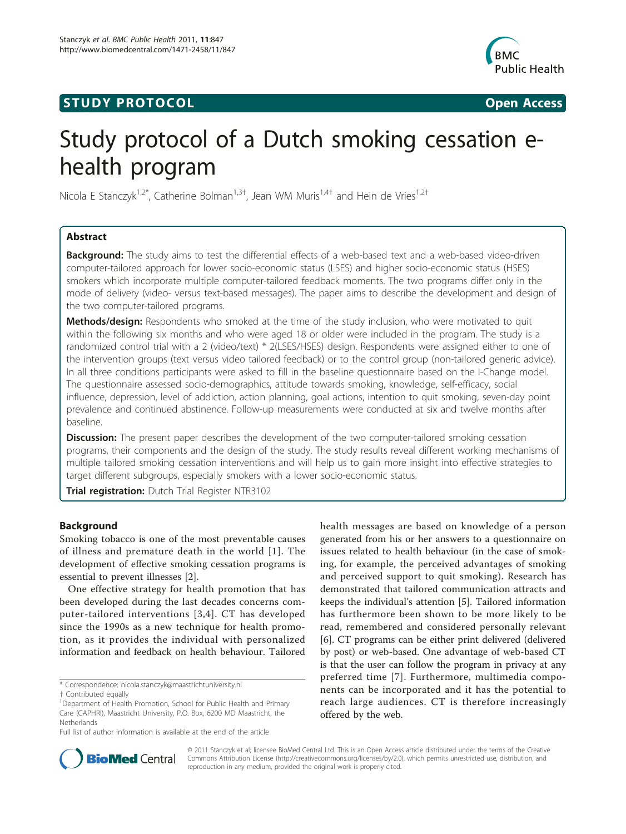# **STUDY PROTOCOL** And the state of the state of the state of the state of the state of the state of the state of the state of the state of the state of the state of the state of the state of the state of the state of the st



# Study protocol of a Dutch smoking cessation ehealth program

Nicola E Stanczyk<sup>1,2\*</sup>, Catherine Bolman<sup>1,3†</sup>, Jean WM Muris<sup>1,4†</sup> and Hein de Vries<sup>1,2†</sup>

# Abstract

**Background:** The study aims to test the differential effects of a web-based text and a web-based video-driven computer-tailored approach for lower socio-economic status (LSES) and higher socio-economic status (HSES) smokers which incorporate multiple computer-tailored feedback moments. The two programs differ only in the mode of delivery (video- versus text-based messages). The paper aims to describe the development and design of the two computer-tailored programs.

**Methods/design:** Respondents who smoked at the time of the study inclusion, who were motivated to quit within the following six months and who were aged 18 or older were included in the program. The study is a randomized control trial with a 2 (video/text) \* 2(LSES/HSES) design. Respondents were assigned either to one of the intervention groups (text versus video tailored feedback) or to the control group (non-tailored generic advice). In all three conditions participants were asked to fill in the baseline questionnaire based on the I-Change model. The questionnaire assessed socio-demographics, attitude towards smoking, knowledge, self-efficacy, social influence, depression, level of addiction, action planning, goal actions, intention to quit smoking, seven-day point prevalence and continued abstinence. Follow-up measurements were conducted at six and twelve months after baseline.

**Discussion:** The present paper describes the development of the two computer-tailored smoking cessation programs, their components and the design of the study. The study results reveal different working mechanisms of multiple tailored smoking cessation interventions and will help us to gain more insight into effective strategies to target different subgroups, especially smokers with a lower socio-economic status.

Trial registration: Dutch Trial Register [NTR3102](http://www.trialregister.nl/trialreg/admin/rctview.asp?TC=NTR3102)

## Background

Smoking tobacco is one of the most preventable causes of illness and premature death in the world [[1](#page-10-0)]. The development of effective smoking cessation programs is essential to prevent illnesses [\[2\]](#page-10-0).

One effective strategy for health promotion that has been developed during the last decades concerns computer-tailored interventions [[3](#page-10-0),[4\]](#page-10-0). CT has developed since the 1990s as a new technique for health promotion, as it provides the individual with personalized information and feedback on health behaviour. Tailored health messages are based on knowledge of a person generated from his or her answers to a questionnaire on issues related to health behaviour (in the case of smoking, for example, the perceived advantages of smoking and perceived support to quit smoking). Research has demonstrated that tailored communication attracts and keeps the individual's attention [\[5](#page-10-0)]. Tailored information has furthermore been shown to be more likely to be read, remembered and considered personally relevant [[6\]](#page-10-0). CT programs can be either print delivered (delivered by post) or web-based. One advantage of web-based CT is that the user can follow the program in privacy at any preferred time [[7\]](#page-10-0). Furthermore, multimedia components can be incorporated and it has the potential to reach large audiences. CT is therefore increasingly offered by the web.



© 2011 Stanczyk et al; licensee BioMed Central Ltd. This is an Open Access article distributed under the terms of the Creative Commons Attribution License [\(http://creativecommons.org/licenses/by/2.0](http://creativecommons.org/licenses/by/2.0)), which permits unrestricted use, distribution, and reproduction in any medium, provided the original work is properly cited.

<sup>\*</sup> Correspondence: [nicola.stanczyk@maastrichtuniversity.nl](mailto:nicola.stanczyk@maastrichtuniversity.nl)

<sup>†</sup> Contributed equally <sup>1</sup>

<sup>&</sup>lt;sup>1</sup>Department of Health Promotion, School for Public Health and Primary Care (CAPHRI), Maastricht University, P.O. Box, 6200 MD Maastricht, the Netherlands

Full list of author information is available at the end of the article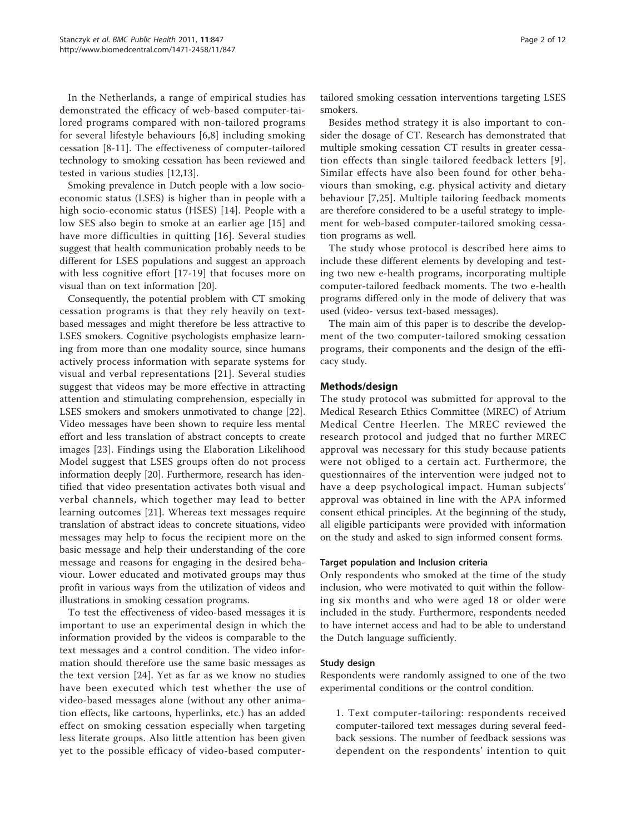In the Netherlands, a range of empirical studies has demonstrated the efficacy of web-based computer-tailored programs compared with non-tailored programs for several lifestyle behaviours [[6,8](#page-10-0)] including smoking cessation [[8](#page-10-0)-[11\]](#page-10-0). The effectiveness of computer-tailored technology to smoking cessation has been reviewed and tested in various studies [\[12,13\]](#page-10-0).

Smoking prevalence in Dutch people with a low socioeconomic status (LSES) is higher than in people with a high socio-economic status (HSES) [\[14\]](#page-10-0). People with a low SES also begin to smoke at an earlier age [\[15\]](#page-10-0) and have more difficulties in quitting [[16](#page-10-0)]. Several studies suggest that health communication probably needs to be different for LSES populations and suggest an approach with less cognitive effort [[17](#page-10-0)-[19](#page-10-0)] that focuses more on visual than on text information [\[20](#page-10-0)].

Consequently, the potential problem with CT smoking cessation programs is that they rely heavily on textbased messages and might therefore be less attractive to LSES smokers. Cognitive psychologists emphasize learning from more than one modality source, since humans actively process information with separate systems for visual and verbal representations [[21](#page-10-0)]. Several studies suggest that videos may be more effective in attracting attention and stimulating comprehension, especially in LSES smokers and smokers unmotivated to change [\[22](#page-10-0)]. Video messages have been shown to require less mental effort and less translation of abstract concepts to create images [\[23\]](#page-10-0). Findings using the Elaboration Likelihood Model suggest that LSES groups often do not process information deeply [\[20](#page-10-0)]. Furthermore, research has identified that video presentation activates both visual and verbal channels, which together may lead to better learning outcomes [[21\]](#page-10-0). Whereas text messages require translation of abstract ideas to concrete situations, video messages may help to focus the recipient more on the basic message and help their understanding of the core message and reasons for engaging in the desired behaviour. Lower educated and motivated groups may thus profit in various ways from the utilization of videos and illustrations in smoking cessation programs.

To test the effectiveness of video-based messages it is important to use an experimental design in which the information provided by the videos is comparable to the text messages and a control condition. The video information should therefore use the same basic messages as the text version [\[24](#page-10-0)]. Yet as far as we know no studies have been executed which test whether the use of video-based messages alone (without any other animation effects, like cartoons, hyperlinks, etc.) has an added effect on smoking cessation especially when targeting less literate groups. Also little attention has been given yet to the possible efficacy of video-based computer-

tailored smoking cessation interventions targeting LSES smokers.

Besides method strategy it is also important to consider the dosage of CT. Research has demonstrated that multiple smoking cessation CT results in greater cessation effects than single tailored feedback letters [[9\]](#page-10-0). Similar effects have also been found for other behaviours than smoking, e.g. physical activity and dietary behaviour [\[7](#page-10-0),[25\]](#page-10-0). Multiple tailoring feedback moments are therefore considered to be a useful strategy to implement for web-based computer-tailored smoking cessation programs as well.

The study whose protocol is described here aims to include these different elements by developing and testing two new e-health programs, incorporating multiple computer-tailored feedback moments. The two e-health programs differed only in the mode of delivery that was used (video- versus text-based messages).

The main aim of this paper is to describe the development of the two computer-tailored smoking cessation programs, their components and the design of the efficacy study.

# Methods/design

The study protocol was submitted for approval to the Medical Research Ethics Committee (MREC) of Atrium Medical Centre Heerlen. The MREC reviewed the research protocol and judged that no further MREC approval was necessary for this study because patients were not obliged to a certain act. Furthermore, the questionnaires of the intervention were judged not to have a deep psychological impact. Human subjects' approval was obtained in line with the APA informed consent ethical principles. At the beginning of the study, all eligible participants were provided with information on the study and asked to sign informed consent forms.

#### Target population and Inclusion criteria

Only respondents who smoked at the time of the study inclusion, who were motivated to quit within the following six months and who were aged 18 or older were included in the study. Furthermore, respondents needed to have internet access and had to be able to understand the Dutch language sufficiently.

#### Study design

Respondents were randomly assigned to one of the two experimental conditions or the control condition.

1. Text computer-tailoring: respondents received computer-tailored text messages during several feedback sessions. The number of feedback sessions was dependent on the respondents' intention to quit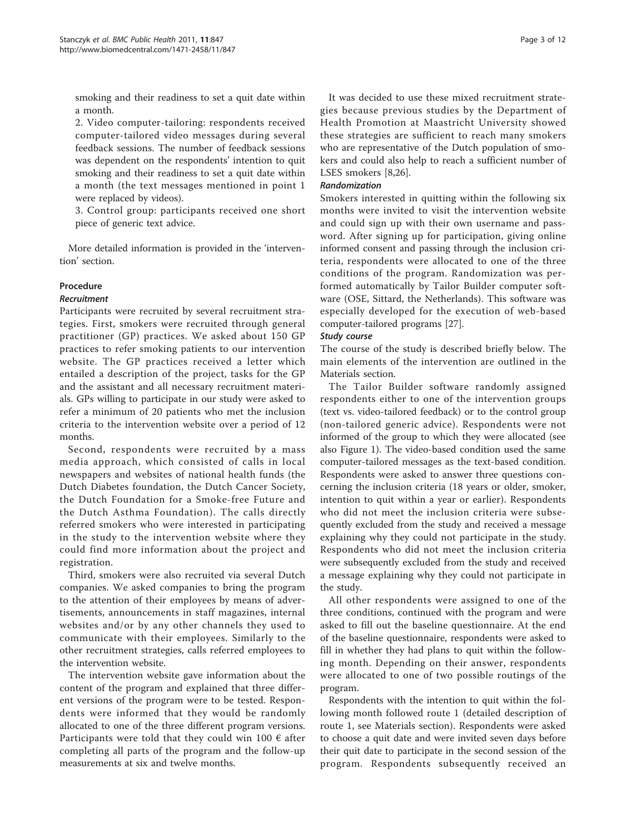smoking and their readiness to set a quit date within a month.

2. Video computer-tailoring: respondents received computer-tailored video messages during several feedback sessions. The number of feedback sessions was dependent on the respondents' intention to quit smoking and their readiness to set a quit date within a month (the text messages mentioned in point 1 were replaced by videos).

3. Control group: participants received one short piece of generic text advice.

More detailed information is provided in the 'intervention' section.

## **Procedure**

## Recruitment

Participants were recruited by several recruitment strategies. First, smokers were recruited through general practitioner (GP) practices. We asked about 150 GP practices to refer smoking patients to our intervention website. The GP practices received a letter which entailed a description of the project, tasks for the GP and the assistant and all necessary recruitment materials. GPs willing to participate in our study were asked to refer a minimum of 20 patients who met the inclusion criteria to the intervention website over a period of 12 months.

Second, respondents were recruited by a mass media approach, which consisted of calls in local newspapers and websites of national health funds (the Dutch Diabetes foundation, the Dutch Cancer Society, the Dutch Foundation for a Smoke-free Future and the Dutch Asthma Foundation). The calls directly referred smokers who were interested in participating in the study to the intervention website where they could find more information about the project and registration.

Third, smokers were also recruited via several Dutch companies. We asked companies to bring the program to the attention of their employees by means of advertisements, announcements in staff magazines, internal websites and/or by any other channels they used to communicate with their employees. Similarly to the other recruitment strategies, calls referred employees to the intervention website.

The intervention website gave information about the content of the program and explained that three different versions of the program were to be tested. Respondents were informed that they would be randomly allocated to one of the three different program versions. Participants were told that they could win 100  $\epsilon$  after completing all parts of the program and the follow-up measurements at six and twelve months.

It was decided to use these mixed recruitment strategies because previous studies by the Department of Health Promotion at Maastricht University showed these strategies are sufficient to reach many smokers who are representative of the Dutch population of smokers and could also help to reach a sufficient number of LSES smokers [[8,26\]](#page-10-0).

## Randomization

Smokers interested in quitting within the following six months were invited to visit the intervention website and could sign up with their own username and password. After signing up for participation, giving online informed consent and passing through the inclusion criteria, respondents were allocated to one of the three conditions of the program. Randomization was performed automatically by Tailor Builder computer software (OSE, Sittard, the Netherlands). This software was especially developed for the execution of web-based computer-tailored programs [[27](#page-10-0)].

## Study course

The course of the study is described briefly below. The main elements of the intervention are outlined in the Materials section.

The Tailor Builder software randomly assigned respondents either to one of the intervention groups (text vs. video-tailored feedback) or to the control group (non-tailored generic advice). Respondents were not informed of the group to which they were allocated (see also Figure [1\)](#page-3-0). The video-based condition used the same computer-tailored messages as the text-based condition. Respondents were asked to answer three questions concerning the inclusion criteria (18 years or older, smoker, intention to quit within a year or earlier). Respondents who did not meet the inclusion criteria were subsequently excluded from the study and received a message explaining why they could not participate in the study. Respondents who did not meet the inclusion criteria were subsequently excluded from the study and received a message explaining why they could not participate in the study.

All other respondents were assigned to one of the three conditions, continued with the program and were asked to fill out the baseline questionnaire. At the end of the baseline questionnaire, respondents were asked to fill in whether they had plans to quit within the following month. Depending on their answer, respondents were allocated to one of two possible routings of the program.

Respondents with the intention to quit within the following month followed route 1 (detailed description of route 1, see Materials section). Respondents were asked to choose a quit date and were invited seven days before their quit date to participate in the second session of the program. Respondents subsequently received an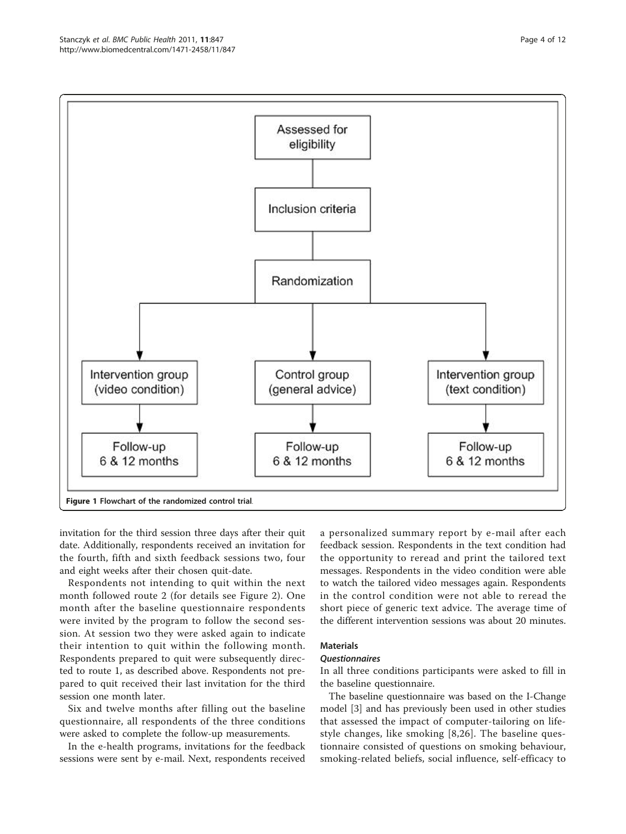<span id="page-3-0"></span>

invitation for the third session three days after their quit date. Additionally, respondents received an invitation for the fourth, fifth and sixth feedback sessions two, four and eight weeks after their chosen quit-date.

Respondents not intending to quit within the next month followed route 2 (for details see Figure [2\)](#page-4-0). One month after the baseline questionnaire respondents were invited by the program to follow the second session. At session two they were asked again to indicate their intention to quit within the following month. Respondents prepared to quit were subsequently directed to route 1, as described above. Respondents not prepared to quit received their last invitation for the third session one month later.

Six and twelve months after filling out the baseline questionnaire, all respondents of the three conditions were asked to complete the follow-up measurements.

In the e-health programs, invitations for the feedback sessions were sent by e-mail. Next, respondents received a personalized summary report by e-mail after each feedback session. Respondents in the text condition had the opportunity to reread and print the tailored text messages. Respondents in the video condition were able to watch the tailored video messages again. Respondents in the control condition were not able to reread the short piece of generic text advice. The average time of the different intervention sessions was about 20 minutes.

# Materials

## **Questionnaires**

In all three conditions participants were asked to fill in the baseline questionnaire.

The baseline questionnaire was based on the I-Change model [[3\]](#page-10-0) and has previously been used in other studies that assessed the impact of computer-tailoring on lifestyle changes, like smoking [[8,26\]](#page-10-0). The baseline questionnaire consisted of questions on smoking behaviour, smoking-related beliefs, social influence, self-efficacy to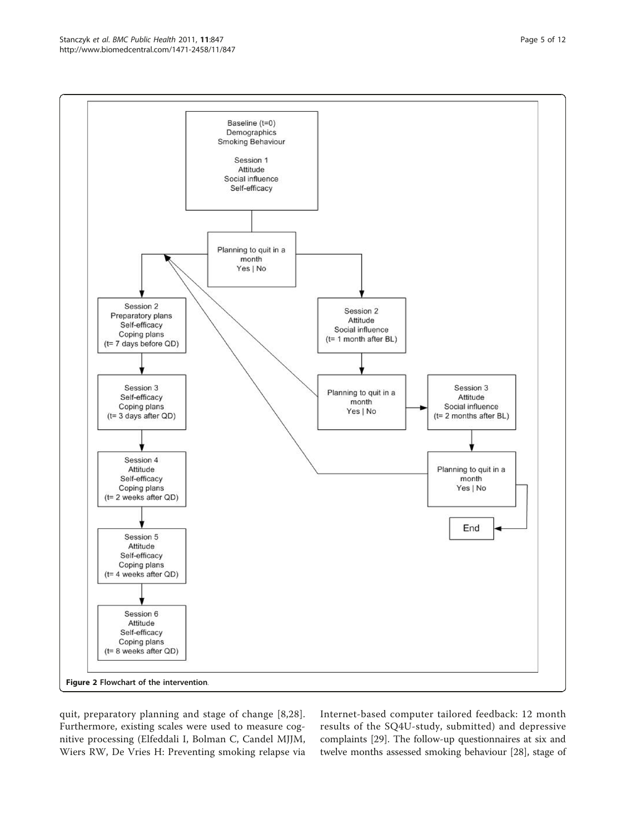<span id="page-4-0"></span>

quit, preparatory planning and stage of change [[8](#page-10-0),[28\]](#page-10-0). Furthermore, existing scales were used to measure cognitive processing (Elfeddali I, Bolman C, Candel MJJM, Wiers RW, De Vries H: Preventing smoking relapse via Internet-based computer tailored feedback: 12 month results of the SQ4U-study, submitted) and depressive complaints [[29\]](#page-10-0). The follow-up questionnaires at six and twelve months assessed smoking behaviour [[28\]](#page-10-0), stage of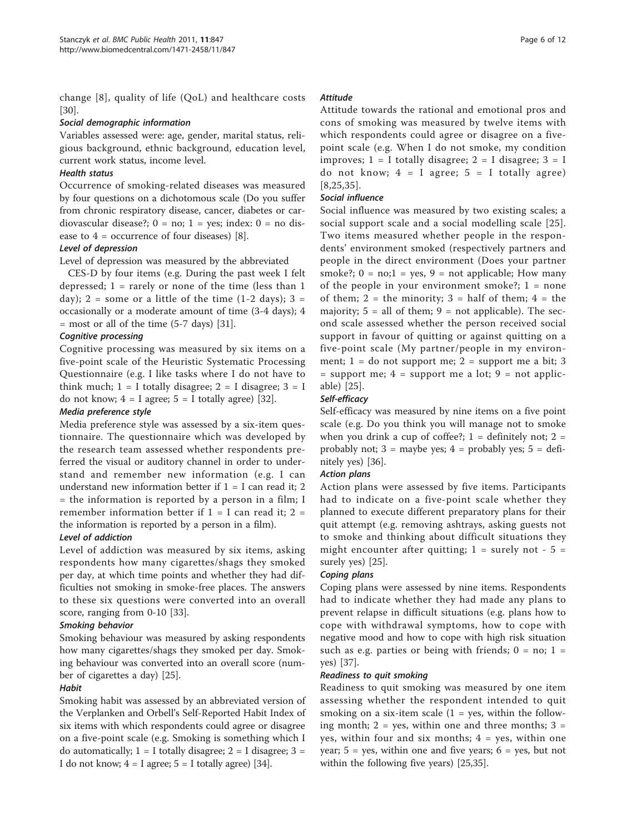change [[8](#page-10-0)], quality of life (QoL) and healthcare costs [[30\]](#page-10-0).

## Social demographic information

Variables assessed were: age, gender, marital status, religious background, ethnic background, education level, current work status, income level.

## Health status

Occurrence of smoking-related diseases was measured by four questions on a dichotomous scale (Do you suffer from chronic respiratory disease, cancer, diabetes or cardiovascular disease?;  $0 = no$ ;  $1 = yes$ ; index:  $0 = no$  disease to  $4 =$  occurrence of four diseases) [[8](#page-10-0)].

## Level of depression

Level of depression was measured by the abbreviated

CES-D by four items (e.g. During the past week I felt depressed;  $1 =$  rarely or none of the time (less than 1 day); 2 = some or a little of the time  $(1-2 \text{ days})$ ; 3 = occasionally or a moderate amount of time (3-4 days); 4  $=$  most or all of the time (5-7 days) [\[31](#page-10-0)].

# Cognitive processing

Cognitive processing was measured by six items on a five-point scale of the Heuristic Systematic Processing Questionnaire (e.g. I like tasks where I do not have to think much;  $1 = I$  totally disagree;  $2 = I$  disagree;  $3 = I$ do not know;  $4 = I$  agree;  $5 = I$  totally agree) [\[32\]](#page-11-0).

## Media preference style

Media preference style was assessed by a six-item questionnaire. The questionnaire which was developed by the research team assessed whether respondents preferred the visual or auditory channel in order to understand and remember new information (e.g. I can understand new information better if  $1 = I$  can read it; 2 = the information is reported by a person in a film; I remember information better if  $1 = I$  can read it;  $2 =$ the information is reported by a person in a film).

## Level of addiction

Level of addiction was measured by six items, asking respondents how many cigarettes/shags they smoked per day, at which time points and whether they had difficulties not smoking in smoke-free places. The answers to these six questions were converted into an overall score, ranging from 0-10 [[33\]](#page-11-0).

## Smoking behavior

Smoking behaviour was measured by asking respondents how many cigarettes/shags they smoked per day. Smoking behaviour was converted into an overall score (number of cigarettes a day) [\[25\]](#page-10-0).

## **Habit**

Smoking habit was assessed by an abbreviated version of the Verplanken and Orbell's Self-Reported Habit Index of six items with which respondents could agree or disagree on a five-point scale (e.g. Smoking is something which I do automatically;  $1 = I$  totally disagree;  $2 = I$  disagree;  $3 =$ I do not know;  $4 = I$  agree;  $5 = I$  totally agree) [\[34\]](#page-11-0).

## **Attitude**

Attitude towards the rational and emotional pros and cons of smoking was measured by twelve items with which respondents could agree or disagree on a fivepoint scale (e.g. When I do not smoke, my condition improves;  $1 = I$  totally disagree;  $2 = I$  disagree;  $3 = I$ do not know;  $4 = I$  agree;  $5 = I$  totally agree) [[8,25,](#page-10-0)[35](#page-11-0)].

## Social influence

Social influence was measured by two existing scales; a social support scale and a social modelling scale [[25\]](#page-10-0). Two items measured whether people in the respondents' environment smoked (respectively partners and people in the direct environment (Does your partner smoke?;  $0 = no; 1 = yes$ ,  $9 = not applicable; How many$ of the people in your environment smoke?;  $1 = none$ of them;  $2 =$  the minority;  $3 =$  half of them;  $4 =$  the majority;  $5 =$  all of them;  $9 =$  not applicable). The second scale assessed whether the person received social support in favour of quitting or against quitting on a five-point scale (My partner/people in my environment;  $1 =$  do not support me;  $2 =$  support me a bit; 3  $=$  support me;  $4 =$  support me a lot;  $9 =$  not applicable) [\[25](#page-10-0)].

# Self-efficacy

Self-efficacy was measured by nine items on a five point scale (e.g. Do you think you will manage not to smoke when you drink a cup of coffee?;  $1 =$  definitely not;  $2 =$ probably not;  $3 =$  maybe yes;  $4 =$  probably yes;  $5 =$  definitely yes) [\[36](#page-11-0)].

## Action plans

Action plans were assessed by five items. Participants had to indicate on a five-point scale whether they planned to execute different preparatory plans for their quit attempt (e.g. removing ashtrays, asking guests not to smoke and thinking about difficult situations they might encounter after quitting;  $1 =$  surely not  $-5 =$ surely yes) [\[25\]](#page-10-0).

## Coping plans

Coping plans were assessed by nine items. Respondents had to indicate whether they had made any plans to prevent relapse in difficult situations (e.g. plans how to cope with withdrawal symptoms, how to cope with negative mood and how to cope with high risk situation such as e.g. parties or being with friends;  $0 = no$ ;  $1 =$ yes) [[37\]](#page-11-0).

## Readiness to quit smoking

Readiness to quit smoking was measured by one item assessing whether the respondent intended to quit smoking on a six-item scale  $(1 = yes, within the follow$ ing month;  $2 = yes$ , within one and three months;  $3 =$ yes, within four and six months;  $4 = yes$ , within one year;  $5 = yes$ , within one and five years;  $6 = yes$ , but not within the following five years) [\[25,](#page-10-0)[35\]](#page-11-0).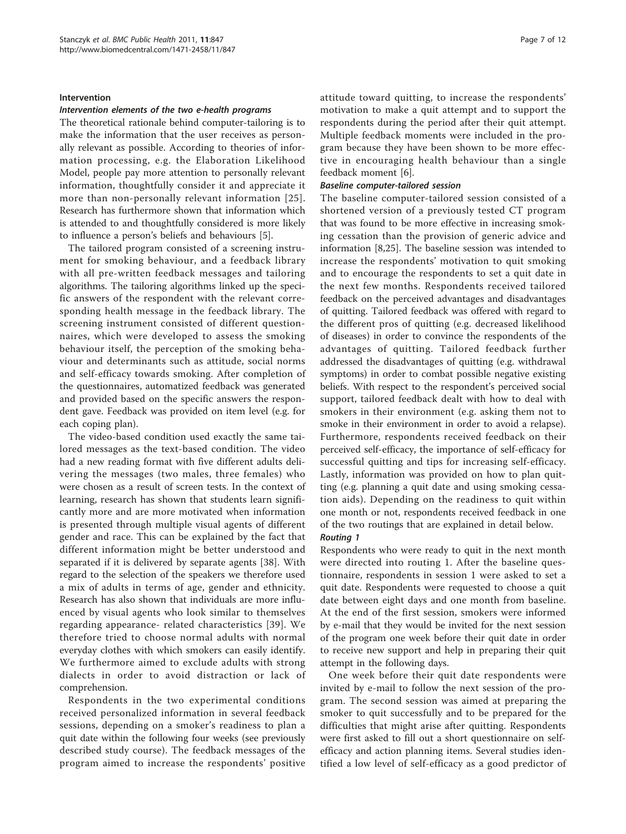#### Intervention

#### Intervention elements of the two e-health programs

The theoretical rationale behind computer-tailoring is to make the information that the user receives as personally relevant as possible. According to theories of information processing, e.g. the Elaboration Likelihood Model, people pay more attention to personally relevant information, thoughtfully consider it and appreciate it more than non-personally relevant information [\[25\]](#page-10-0). Research has furthermore shown that information which is attended to and thoughtfully considered is more likely to influence a person's beliefs and behaviours [[5\]](#page-10-0).

The tailored program consisted of a screening instrument for smoking behaviour, and a feedback library with all pre-written feedback messages and tailoring algorithms. The tailoring algorithms linked up the specific answers of the respondent with the relevant corresponding health message in the feedback library. The screening instrument consisted of different questionnaires, which were developed to assess the smoking behaviour itself, the perception of the smoking behaviour and determinants such as attitude, social norms and self-efficacy towards smoking. After completion of the questionnaires, automatized feedback was generated and provided based on the specific answers the respondent gave. Feedback was provided on item level (e.g. for each coping plan).

The video-based condition used exactly the same tailored messages as the text-based condition. The video had a new reading format with five different adults delivering the messages (two males, three females) who were chosen as a result of screen tests. In the context of learning, research has shown that students learn significantly more and are more motivated when information is presented through multiple visual agents of different gender and race. This can be explained by the fact that different information might be better understood and separated if it is delivered by separate agents [[38\]](#page-11-0). With regard to the selection of the speakers we therefore used a mix of adults in terms of age, gender and ethnicity. Research has also shown that individuals are more influenced by visual agents who look similar to themselves regarding appearance- related characteristics [[39\]](#page-11-0). We therefore tried to choose normal adults with normal everyday clothes with which smokers can easily identify. We furthermore aimed to exclude adults with strong dialects in order to avoid distraction or lack of comprehension.

Respondents in the two experimental conditions received personalized information in several feedback sessions, depending on a smoker's readiness to plan a quit date within the following four weeks (see previously described study course). The feedback messages of the program aimed to increase the respondents' positive

attitude toward quitting, to increase the respondents' motivation to make a quit attempt and to support the respondents during the period after their quit attempt. Multiple feedback moments were included in the program because they have been shown to be more effective in encouraging health behaviour than a single feedback moment [\[6](#page-10-0)].

## Baseline computer-tailored session

The baseline computer-tailored session consisted of a shortened version of a previously tested CT program that was found to be more effective in increasing smoking cessation than the provision of generic advice and information [[8,25\]](#page-10-0). The baseline session was intended to increase the respondents' motivation to quit smoking and to encourage the respondents to set a quit date in the next few months. Respondents received tailored feedback on the perceived advantages and disadvantages of quitting. Tailored feedback was offered with regard to the different pros of quitting (e.g. decreased likelihood of diseases) in order to convince the respondents of the advantages of quitting. Tailored feedback further addressed the disadvantages of quitting (e.g. withdrawal symptoms) in order to combat possible negative existing beliefs. With respect to the respondent's perceived social support, tailored feedback dealt with how to deal with smokers in their environment (e.g. asking them not to smoke in their environment in order to avoid a relapse). Furthermore, respondents received feedback on their perceived self-efficacy, the importance of self-efficacy for successful quitting and tips for increasing self-efficacy. Lastly, information was provided on how to plan quitting (e.g. planning a quit date and using smoking cessation aids). Depending on the readiness to quit within one month or not, respondents received feedback in one of the two routings that are explained in detail below. Routing 1

Respondents who were ready to quit in the next month were directed into routing 1. After the baseline questionnaire, respondents in session 1 were asked to set a quit date. Respondents were requested to choose a quit date between eight days and one month from baseline. At the end of the first session, smokers were informed by e-mail that they would be invited for the next session of the program one week before their quit date in order to receive new support and help in preparing their quit attempt in the following days.

One week before their quit date respondents were invited by e-mail to follow the next session of the program. The second session was aimed at preparing the smoker to quit successfully and to be prepared for the difficulties that might arise after quitting. Respondents were first asked to fill out a short questionnaire on selfefficacy and action planning items. Several studies identified a low level of self-efficacy as a good predictor of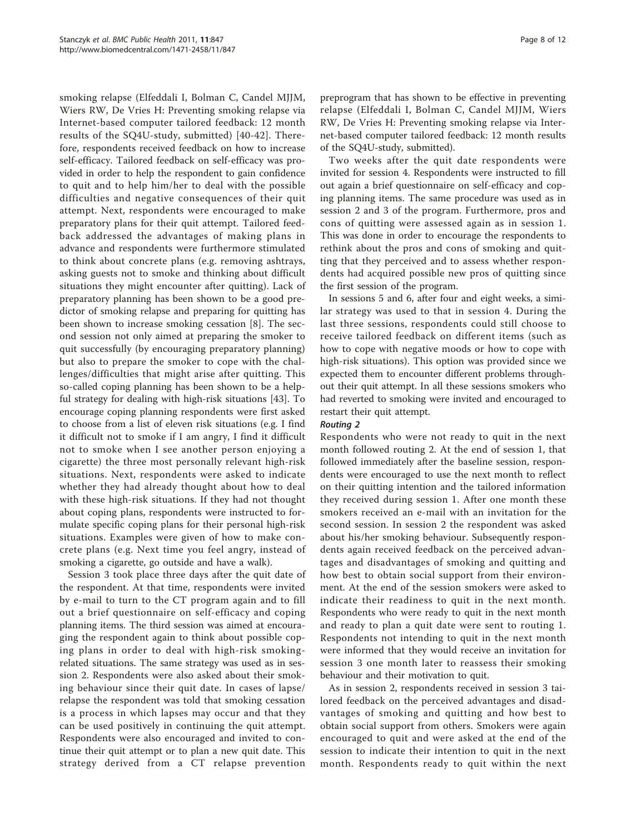smoking relapse (Elfeddali I, Bolman C, Candel MJJM, Wiers RW, De Vries H: Preventing smoking relapse via Internet-based computer tailored feedback: 12 month results of the SQ4U-study, submitted) [[40](#page-11-0)-[42](#page-11-0)]. Therefore, respondents received feedback on how to increase self-efficacy. Tailored feedback on self-efficacy was provided in order to help the respondent to gain confidence to quit and to help him/her to deal with the possible difficulties and negative consequences of their quit attempt. Next, respondents were encouraged to make preparatory plans for their quit attempt. Tailored feedback addressed the advantages of making plans in advance and respondents were furthermore stimulated to think about concrete plans (e.g. removing ashtrays, asking guests not to smoke and thinking about difficult situations they might encounter after quitting). Lack of preparatory planning has been shown to be a good predictor of smoking relapse and preparing for quitting has been shown to increase smoking cessation [[8\]](#page-10-0). The second session not only aimed at preparing the smoker to quit successfully (by encouraging preparatory planning) but also to prepare the smoker to cope with the challenges/difficulties that might arise after quitting. This so-called coping planning has been shown to be a helpful strategy for dealing with high-risk situations [\[43](#page-11-0)]. To encourage coping planning respondents were first asked to choose from a list of eleven risk situations (e.g. I find it difficult not to smoke if I am angry, I find it difficult not to smoke when I see another person enjoying a cigarette) the three most personally relevant high-risk situations. Next, respondents were asked to indicate whether they had already thought about how to deal with these high-risk situations. If they had not thought about coping plans, respondents were instructed to formulate specific coping plans for their personal high-risk situations. Examples were given of how to make concrete plans (e.g. Next time you feel angry, instead of smoking a cigarette, go outside and have a walk).

Session 3 took place three days after the quit date of the respondent. At that time, respondents were invited by e-mail to turn to the CT program again and to fill out a brief questionnaire on self-efficacy and coping planning items. The third session was aimed at encouraging the respondent again to think about possible coping plans in order to deal with high-risk smokingrelated situations. The same strategy was used as in session 2. Respondents were also asked about their smoking behaviour since their quit date. In cases of lapse/ relapse the respondent was told that smoking cessation is a process in which lapses may occur and that they can be used positively in continuing the quit attempt. Respondents were also encouraged and invited to continue their quit attempt or to plan a new quit date. This strategy derived from a CT relapse prevention preprogram that has shown to be effective in preventing relapse (Elfeddali I, Bolman C, Candel MJJM, Wiers RW, De Vries H: Preventing smoking relapse via Internet-based computer tailored feedback: 12 month results of the SQ4U-study, submitted).

Two weeks after the quit date respondents were invited for session 4. Respondents were instructed to fill out again a brief questionnaire on self-efficacy and coping planning items. The same procedure was used as in session 2 and 3 of the program. Furthermore, pros and cons of quitting were assessed again as in session 1. This was done in order to encourage the respondents to rethink about the pros and cons of smoking and quitting that they perceived and to assess whether respondents had acquired possible new pros of quitting since the first session of the program.

In sessions 5 and 6, after four and eight weeks, a similar strategy was used to that in session 4. During the last three sessions, respondents could still choose to receive tailored feedback on different items (such as how to cope with negative moods or how to cope with high-risk situations). This option was provided since we expected them to encounter different problems throughout their quit attempt. In all these sessions smokers who had reverted to smoking were invited and encouraged to restart their quit attempt.

## Routing 2

Respondents who were not ready to quit in the next month followed routing 2. At the end of session 1, that followed immediately after the baseline session, respondents were encouraged to use the next month to reflect on their quitting intention and the tailored information they received during session 1. After one month these smokers received an e-mail with an invitation for the second session. In session 2 the respondent was asked about his/her smoking behaviour. Subsequently respondents again received feedback on the perceived advantages and disadvantages of smoking and quitting and how best to obtain social support from their environment. At the end of the session smokers were asked to indicate their readiness to quit in the next month. Respondents who were ready to quit in the next month and ready to plan a quit date were sent to routing 1. Respondents not intending to quit in the next month were informed that they would receive an invitation for session 3 one month later to reassess their smoking behaviour and their motivation to quit.

As in session 2, respondents received in session 3 tailored feedback on the perceived advantages and disadvantages of smoking and quitting and how best to obtain social support from others. Smokers were again encouraged to quit and were asked at the end of the session to indicate their intention to quit in the next month. Respondents ready to quit within the next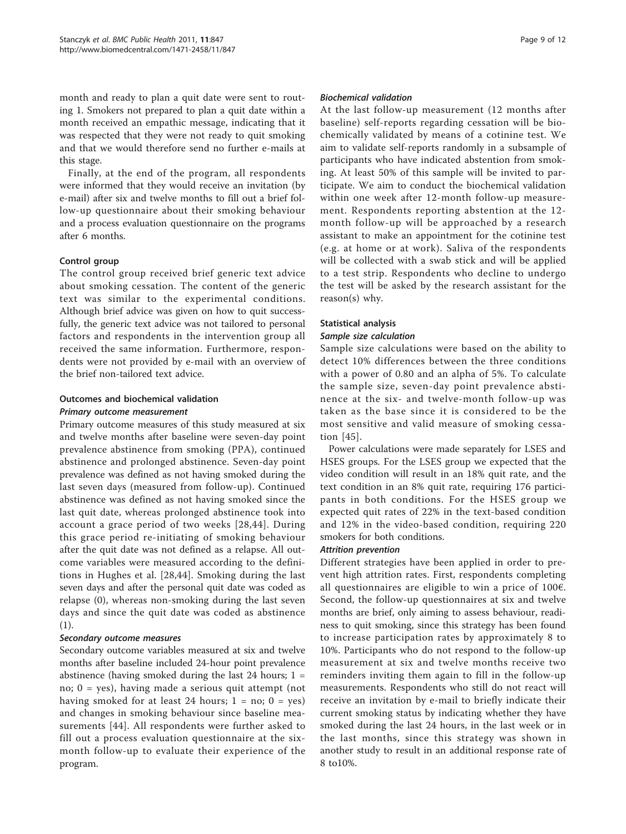month and ready to plan a quit date were sent to routing 1. Smokers not prepared to plan a quit date within a month received an empathic message, indicating that it was respected that they were not ready to quit smoking and that we would therefore send no further e-mails at this stage.

Finally, at the end of the program, all respondents were informed that they would receive an invitation (by e-mail) after six and twelve months to fill out a brief follow-up questionnaire about their smoking behaviour and a process evaluation questionnaire on the programs after 6 months.

## Control group

The control group received brief generic text advice about smoking cessation. The content of the generic text was similar to the experimental conditions. Although brief advice was given on how to quit successfully, the generic text advice was not tailored to personal factors and respondents in the intervention group all received the same information. Furthermore, respondents were not provided by e-mail with an overview of the brief non-tailored text advice.

# Outcomes and biochemical validation Primary outcome measurement

Primary outcome measures of this study measured at six and twelve months after baseline were seven-day point prevalence abstinence from smoking (PPA), continued abstinence and prolonged abstinence. Seven-day point prevalence was defined as not having smoked during the last seven days (measured from follow-up). Continued abstinence was defined as not having smoked since the last quit date, whereas prolonged abstinence took into account a grace period of two weeks [[28](#page-10-0),[44](#page-11-0)]. During this grace period re-initiating of smoking behaviour after the quit date was not defined as a relapse. All outcome variables were measured according to the definitions in Hughes et al. [[28](#page-10-0)[,44\]](#page-11-0). Smoking during the last seven days and after the personal quit date was coded as relapse (0), whereas non-smoking during the last seven days and since the quit date was coded as abstinence (1).

# Secondary outcome measures

Secondary outcome variables measured at six and twelve months after baseline included 24-hour point prevalence abstinence (having smoked during the last 24 hours;  $1 =$ no; 0 = yes), having made a serious quit attempt (not having smoked for at least 24 hours;  $1 = no$ ;  $0 = yes$ ) and changes in smoking behaviour since baseline measurements [\[44\]](#page-11-0). All respondents were further asked to fill out a process evaluation questionnaire at the sixmonth follow-up to evaluate their experience of the program.

## Biochemical validation

At the last follow-up measurement (12 months after baseline) self-reports regarding cessation will be biochemically validated by means of a cotinine test. We aim to validate self-reports randomly in a subsample of participants who have indicated abstention from smoking. At least 50% of this sample will be invited to participate. We aim to conduct the biochemical validation within one week after 12-month follow-up measurement. Respondents reporting abstention at the 12 month follow-up will be approached by a research assistant to make an appointment for the cotinine test (e.g. at home or at work). Saliva of the respondents will be collected with a swab stick and will be applied to a test strip. Respondents who decline to undergo the test will be asked by the research assistant for the reason(s) why.

# Statistical analysis

## Sample size calculation

Sample size calculations were based on the ability to detect 10% differences between the three conditions with a power of 0.80 and an alpha of 5%. To calculate the sample size, seven-day point prevalence abstinence at the six- and twelve-month follow-up was taken as the base since it is considered to be the most sensitive and valid measure of smoking cessation [[45\]](#page-11-0).

Power calculations were made separately for LSES and HSES groups. For the LSES group we expected that the video condition will result in an 18% quit rate, and the text condition in an 8% quit rate, requiring 176 participants in both conditions. For the HSES group we expected quit rates of 22% in the text-based condition and 12% in the video-based condition, requiring 220 smokers for both conditions.

## Attrition prevention

Different strategies have been applied in order to prevent high attrition rates. First, respondents completing all questionnaires are eligible to win a price of 100€. Second, the follow-up questionnaires at six and twelve months are brief, only aiming to assess behaviour, readiness to quit smoking, since this strategy has been found to increase participation rates by approximately 8 to 10%. Participants who do not respond to the follow-up measurement at six and twelve months receive two reminders inviting them again to fill in the follow-up measurements. Respondents who still do not react will receive an invitation by e-mail to briefly indicate their current smoking status by indicating whether they have smoked during the last 24 hours, in the last week or in the last months, since this strategy was shown in another study to result in an additional response rate of 8 to10%.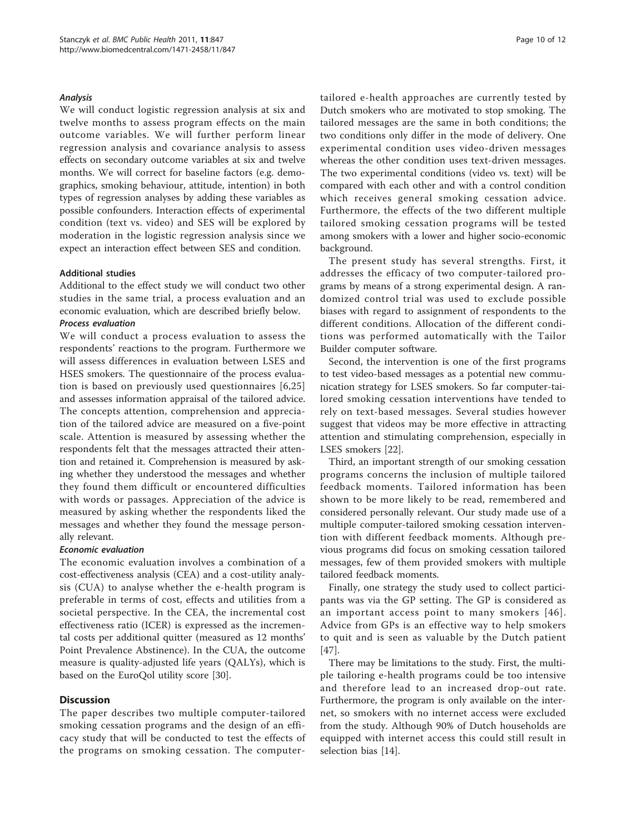## Analysis

We will conduct logistic regression analysis at six and twelve months to assess program effects on the main outcome variables. We will further perform linear regression analysis and covariance analysis to assess effects on secondary outcome variables at six and twelve months. We will correct for baseline factors (e.g. demographics, smoking behaviour, attitude, intention) in both types of regression analyses by adding these variables as possible confounders. Interaction effects of experimental condition (text vs. video) and SES will be explored by moderation in the logistic regression analysis since we expect an interaction effect between SES and condition.

## Additional studies

Additional to the effect study we will conduct two other studies in the same trial, a process evaluation and an economic evaluation, which are described briefly below.

# Process evaluation

We will conduct a process evaluation to assess the respondents' reactions to the program. Furthermore we will assess differences in evaluation between LSES and HSES smokers. The questionnaire of the process evaluation is based on previously used questionnaires [[6,25](#page-10-0)] and assesses information appraisal of the tailored advice. The concepts attention, comprehension and appreciation of the tailored advice are measured on a five-point scale. Attention is measured by assessing whether the respondents felt that the messages attracted their attention and retained it. Comprehension is measured by asking whether they understood the messages and whether they found them difficult or encountered difficulties with words or passages. Appreciation of the advice is measured by asking whether the respondents liked the messages and whether they found the message personally relevant.

## Economic evaluation

The economic evaluation involves a combination of a cost-effectiveness analysis (CEA) and a cost-utility analysis (CUA) to analyse whether the e-health program is preferable in terms of cost, effects and utilities from a societal perspective. In the CEA, the incremental cost effectiveness ratio (ICER) is expressed as the incremental costs per additional quitter (measured as 12 months' Point Prevalence Abstinence). In the CUA, the outcome measure is quality-adjusted life years (QALYs), which is based on the EuroQol utility score [\[30\]](#page-10-0).

## **Discussion**

The paper describes two multiple computer-tailored smoking cessation programs and the design of an efficacy study that will be conducted to test the effects of the programs on smoking cessation. The computertailored e-health approaches are currently tested by Dutch smokers who are motivated to stop smoking. The tailored messages are the same in both conditions; the two conditions only differ in the mode of delivery. One experimental condition uses video-driven messages whereas the other condition uses text-driven messages. The two experimental conditions (video vs. text) will be compared with each other and with a control condition which receives general smoking cessation advice. Furthermore, the effects of the two different multiple tailored smoking cessation programs will be tested among smokers with a lower and higher socio-economic background.

The present study has several strengths. First, it addresses the efficacy of two computer-tailored programs by means of a strong experimental design. A randomized control trial was used to exclude possible biases with regard to assignment of respondents to the different conditions. Allocation of the different conditions was performed automatically with the Tailor Builder computer software.

Second, the intervention is one of the first programs to test video-based messages as a potential new communication strategy for LSES smokers. So far computer-tailored smoking cessation interventions have tended to rely on text-based messages. Several studies however suggest that videos may be more effective in attracting attention and stimulating comprehension, especially in LSES smokers [[22\]](#page-10-0).

Third, an important strength of our smoking cessation programs concerns the inclusion of multiple tailored feedback moments. Tailored information has been shown to be more likely to be read, remembered and considered personally relevant. Our study made use of a multiple computer-tailored smoking cessation intervention with different feedback moments. Although previous programs did focus on smoking cessation tailored messages, few of them provided smokers with multiple tailored feedback moments.

Finally, one strategy the study used to collect participants was via the GP setting. The GP is considered as an important access point to many smokers [[46\]](#page-11-0). Advice from GPs is an effective way to help smokers to quit and is seen as valuable by the Dutch patient [[47\]](#page-11-0).

There may be limitations to the study. First, the multiple tailoring e-health programs could be too intensive and therefore lead to an increased drop-out rate. Furthermore, the program is only available on the internet, so smokers with no internet access were excluded from the study. Although 90% of Dutch households are equipped with internet access this could still result in selection bias [[14](#page-10-0)].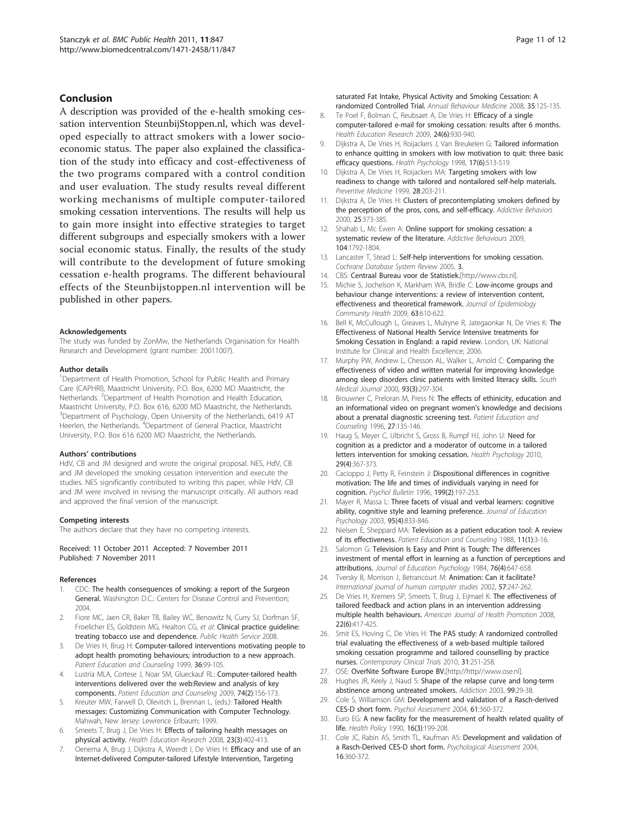## <span id="page-10-0"></span>Conclusion

A description was provided of the e-health smoking cessation intervention SteunbijStoppen.nl, which was developed especially to attract smokers with a lower socioeconomic status. The paper also explained the classification of the study into efficacy and cost-effectiveness of the two programs compared with a control condition and user evaluation. The study results reveal different working mechanisms of multiple computer-tailored smoking cessation interventions. The results will help us to gain more insight into effective strategies to target different subgroups and especially smokers with a lower social economic status. Finally, the results of the study will contribute to the development of future smoking cessation e-health programs. The different behavioural effects of the Steunbijstoppen.nl intervention will be published in other papers.

#### Acknowledgements

The study was funded by ZonMw, the Netherlands Organisation for Health Research and Development (grant number: 20011007).

#### Author details

<sup>1</sup>Department of Health Promotion, School for Public Health and Primary Care (CAPHRI), Maastricht University, P.O. Box, 6200 MD Maastricht, the Netherlands. <sup>2</sup>Department of Health Promotion and Health Education, Maastricht University, P.O. Box 616, 6200 MD Maastricht, the Netherlands. <sup>3</sup>Department of Psychology, Open University of the Netherlands, 6419 AT Heerlen, the Netherlands. <sup>4</sup>Department of General Practice, Maastricht University, P.O. Box 616 6200 MD Maastricht, the Netherlands.

#### Authors' contributions

HdV, CB and JM designed and wrote the original proposal. NES, HdV, CB and JM developed the smoking cessation intervention and execute the studies. NES significantly contributed to writing this paper, while HdV, CB and JM were involved in revising the manuscript critically. All authors read and approved the final version of the manuscript.

#### Competing interests

The authors declare that they have no competing interests.

#### Received: 11 October 2011 Accepted: 7 November 2011 Published: 7 November 2011

#### References

- 1. CDC: The health consequences of smoking: a report of the Surgeon General. Washington D.C.: Centers for Disease Control and Prevention; 2004.
- 2. Fiore MC, Jaen CR, Baker TB, Bailey WC, Benowitz N, Curry SJ, Dorfman SF, Froelicher ES, Goldstein MG, Healton CG, et al: Clinical practice guideline: treating tobacco use and dependence. Public Health Service 2008.
- 3. De Vries H, Brug H: [Computer-tailored interventions motivating people to](http://www.ncbi.nlm.nih.gov/pubmed/10223015?dopt=Abstract) [adopt health promoting behaviours; introduction to a new approach.](http://www.ncbi.nlm.nih.gov/pubmed/10223015?dopt=Abstract) Patient Education and Counseling 1999, 36:99-105.
- Lustria MLA, Cortese J, Noar SM, Glueckauf RL: [Computer-tailored health](http://www.ncbi.nlm.nih.gov/pubmed/18947966?dopt=Abstract) [interventions delivered over the web:Review and analysis of key](http://www.ncbi.nlm.nih.gov/pubmed/18947966?dopt=Abstract) [components.](http://www.ncbi.nlm.nih.gov/pubmed/18947966?dopt=Abstract) Patient Education and Counseling 2009, 74(2):156-173.
- 5. Kreuter MW, Farwell D, Olevitch L, Brennan L, (eds.): Tailored Health messages: Customizing Communication with Computer Technology. Mahwah, New Jersey: Lewrence Erlbaum; 1999.
- 6. Smeets T, Brug J, De Vries H: [Effects of tailoring health messages on](http://www.ncbi.nlm.nih.gov/pubmed/17032705?dopt=Abstract) [physical activity.](http://www.ncbi.nlm.nih.gov/pubmed/17032705?dopt=Abstract) Health Education Research 2008, 23(3):402-413.
- Oenema A, Brug J, Dijkstra A, Weerdt I, De Vries H: Efficacy and use of an Internet-delivered Computer-tailored Lifestyle Intervention, Targeting

saturated Fat Intake, Physical Activity and Smoking Cessation: A randomized Controlled Trial. Annual Behaviour Medicine 2008, 35:125-135.

- 8. Te Poel F, Bolman C, Reubsaet A, De Vries H: [Efficacy of a single](http://www.ncbi.nlm.nih.gov/pubmed/19574405?dopt=Abstract) [computer-tailored e-mail for smoking cessation: results after 6 months.](http://www.ncbi.nlm.nih.gov/pubmed/19574405?dopt=Abstract) Health Education Research 2009, 24(6):930-940.
- Dijkstra A, De Vries H, Roijackers J, Van Breukelen G: [Tailored information](http://www.ncbi.nlm.nih.gov/pubmed/9848801?dopt=Abstract) [to enhance quitting in smokers with low motivation to quit: three basic](http://www.ncbi.nlm.nih.gov/pubmed/9848801?dopt=Abstract) [efficacy questions.](http://www.ncbi.nlm.nih.gov/pubmed/9848801?dopt=Abstract) Health Psychology 1998, 17(6):513-519.
- 10. Dijkstra A, De Vries H, Roijackers MA: [Targeting smokers with low](http://www.ncbi.nlm.nih.gov/pubmed/10048112?dopt=Abstract) [readiness to change with tailored and nontailored self-help materials.](http://www.ncbi.nlm.nih.gov/pubmed/10048112?dopt=Abstract) Preventive Medicine 1999, 28:203-211.
- 11. Dijkstra A, De Vries H: [Clusters of precontemplating smokers defined by](http://www.ncbi.nlm.nih.gov/pubmed/10890291?dopt=Abstract) [the perception of the pros, cons, and self-efficacy.](http://www.ncbi.nlm.nih.gov/pubmed/10890291?dopt=Abstract) Addictive Behaviors 2000, 25:373-385.
- 12. Shahab L, Mc Ewen A: Online support for smoking cessation: a systematic review of the literature. Addictive Behaviours 2009, 104:1792-1804.
- 13. Lancaster T, Stead L: Self-help interventions for smoking cessation. Cochrane Database System Review 2005, 3.
- 14. CBS: Centraal Bureau voor de Statistiek.[[http://www.cbs.nl\]](http://www.cbs.nl).
- 15. Michie S, Jochelson K, Markham WA, Bridle C: [Low-income groups and](http://www.ncbi.nlm.nih.gov/pubmed/19386612?dopt=Abstract) [behaviour change interventions: a review of intervention content,](http://www.ncbi.nlm.nih.gov/pubmed/19386612?dopt=Abstract) [effectiveness and theoretical framework.](http://www.ncbi.nlm.nih.gov/pubmed/19386612?dopt=Abstract) Journal of Epidemiology Community Health 2009, 63:610-622.
- 16. Bell K, McCullough L, Greaves L, Mulryne R, Jategaonkar N, De Vries K: The Effectiveness of National Health Service Intensive treatments for Smoking Cessation in England: a rapid review. London, UK: National Institute for Clinical and Health Excellence; 2006.
- 17. Murphy PW, Andrew L, Chesson AL, Walker L, Arnold C: Comparing the effectiveness of video and written material for improving knowledge among sleep disorders clinic patients with limited literacy skills. South Medical Journal 2000, 93(3):297-304.
- 18. Brouwner C, Preloran M, Press N: [The effects of ethinicity, education and](http://www.ncbi.nlm.nih.gov/pubmed/8788343?dopt=Abstract) [an informational video on pregnant women](http://www.ncbi.nlm.nih.gov/pubmed/8788343?dopt=Abstract)'s knowledge and decisions [about a prenatal diagnostic screening test.](http://www.ncbi.nlm.nih.gov/pubmed/8788343?dopt=Abstract) Patient Education and Counseling 1996, 27:135-146.
- 19. Haug S, Meyer C, Ulbricht S, Gross B, Rumpf HJ, John U: [Need for](http://www.ncbi.nlm.nih.gov/pubmed/20658823?dopt=Abstract) [cognition as a predictor and a moderator of outcome in a tailored](http://www.ncbi.nlm.nih.gov/pubmed/20658823?dopt=Abstract) [letters intervention for smoking cessation.](http://www.ncbi.nlm.nih.gov/pubmed/20658823?dopt=Abstract) Health Psychology 2010, 29(4):367-373.
- 20. Cacioppo J, Petty R, Feinstein J: Dispositional differences in cognitive motivation: The life and times of individuals varying in need for cognition. Psychol Bulletin 1996, 199(2):197-253.
- 21. Mayer R, Massa L: Three facets of visual and verbal learners: cognitive ability, cognitive style and learning preference. Journal of Education Psychology 2003, 95(4):833-846.
- 22. Nielsen E, Sheppard MA: [Television as a patient education tool: A review](http://www.ncbi.nlm.nih.gov/pubmed/10302261?dopt=Abstract) [of its effectiveness.](http://www.ncbi.nlm.nih.gov/pubmed/10302261?dopt=Abstract) Patient Education and Counseling 1988, 11(1):3-16.
- 23. Salomon G: Television Is Easy and Print is Tough: The differences investment of mental effort in learning as a function of perceptions and attributions. Journal of Education Psychology 1984, 76(4):647-658.
- 24. Tversky B, Morrison J, Betrancourt M: Animation: Can it facilitate? International journal of human computer studies 2002, 57:247-262.
- 25. De Vries H, Kremers SP, Smeets T, Brug J, Eijmael K: [The effectiveness of](http://www.ncbi.nlm.nih.gov/pubmed/18677882?dopt=Abstract) [tailored feedback and action plans in an intervention addressing](http://www.ncbi.nlm.nih.gov/pubmed/18677882?dopt=Abstract) [multiple health behaviours.](http://www.ncbi.nlm.nih.gov/pubmed/18677882?dopt=Abstract) American Journal of Health Promotion 2008, 22(6):417-425.
- 26. Smit ES, Hoving C, De Vries H: [The PAS study: A randomized controlled](http://www.ncbi.nlm.nih.gov/pubmed/20215047?dopt=Abstract) [trial evaluating the effectiveness of a web-based multiple tailored](http://www.ncbi.nlm.nih.gov/pubmed/20215047?dopt=Abstract) [smoking cessation programme and tailored counselling by practice](http://www.ncbi.nlm.nih.gov/pubmed/20215047?dopt=Abstract) [nurses.](http://www.ncbi.nlm.nih.gov/pubmed/20215047?dopt=Abstract) Contemporary Clinical Trials 2010, 31:251-258.
- 27. OSE: OverNite Software Europe BV.[<http://http//:www.ose.nl>].
- 28. Hughes JR, Keely J, Naud S: Shape of the relapse curve and long-term abstinence among untreated smokers. Addiction 2003, 99:29-38.
- 29. Cole S, Williamson GM: Development and validation of a Rasch-derived CES-D short form. Psychol Assessment 2004, 61:360-372.
- 30. Euro EG: [A new facility for the measurement of health related quality of](http://www.ncbi.nlm.nih.gov/pubmed/10109801?dopt=Abstract) [life.](http://www.ncbi.nlm.nih.gov/pubmed/10109801?dopt=Abstract) Health Policy 1990, 16(3):199-208.
- 31. Cole JC, Rabin AS, Smith TL, Kaufman AS: [Development](http://www.ncbi.nlm.nih.gov/pubmed/15584795?dopt=Abstract) and validation of [a Rasch-Derived CES-D short form.](http://www.ncbi.nlm.nih.gov/pubmed/15584795?dopt=Abstract) Psychological Assessment 2004, 16:360-372.